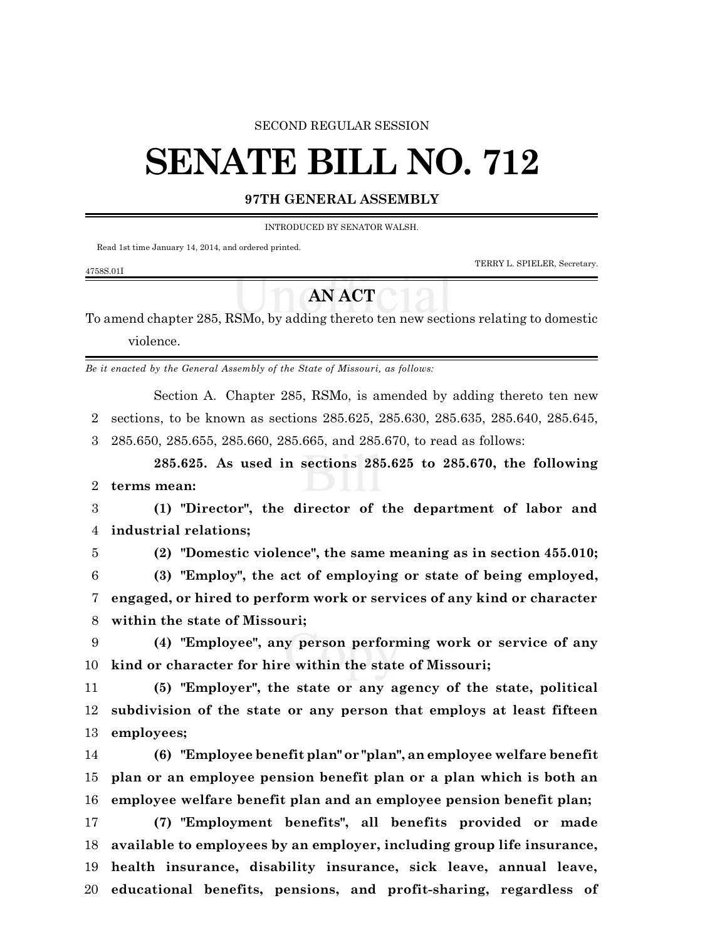### SECOND REGULAR SESSION

# **SENATE BILL NO. 712**

## **97TH GENERAL ASSEMBLY**

INTRODUCED BY SENATOR WALSH.

Read 1st time January 14, 2014, and ordered printed.

TERRY L. SPIELER, Secretary.

#### 4758S.01I

# **AN ACT**

To amend chapter 285, RSMo, by adding thereto ten new sections relating to domestic violence.

*Be it enacted by the General Assembly of the State of Missouri, as follows:*

Section A. Chapter 285, RSMo, is amended by adding thereto ten new sections, to be known as sections 285.625, 285.630, 285.635, 285.640, 285.645, 285.650, 285.655, 285.660, 285.665, and 285.670, to read as follows:

**285.625. As used in sections 285.625 to 285.670, the following terms mean:**

 **(1) "Director", the director of the department of labor and industrial relations;**

**(2) "Domestic violence", the same meaning as in section 455.010;**

 **(3) "Employ", the act of employing or state of being employed, engaged, or hired to perform work or services of any kind or character within the state of Missouri;**

 **(4) "Employee", any person performing work or service of any kind or character for hire within the state of Missouri;**

 **(5) "Employer", the state or any agency of the state, political subdivision of the state or any person that employs at least fifteen employees;**

 **(6) "Employee benefit plan" or "plan", an employee welfare benefit plan or an employee pension benefit plan or a plan which is both an employee welfare benefit plan and an employee pension benefit plan;**

 **(7) "Employment benefits", all benefits provided or made available to employees by an employer, including group life insurance, health insurance, disability insurance, sick leave, annual leave, educational benefits, pensions, and profit-sharing, regardless of**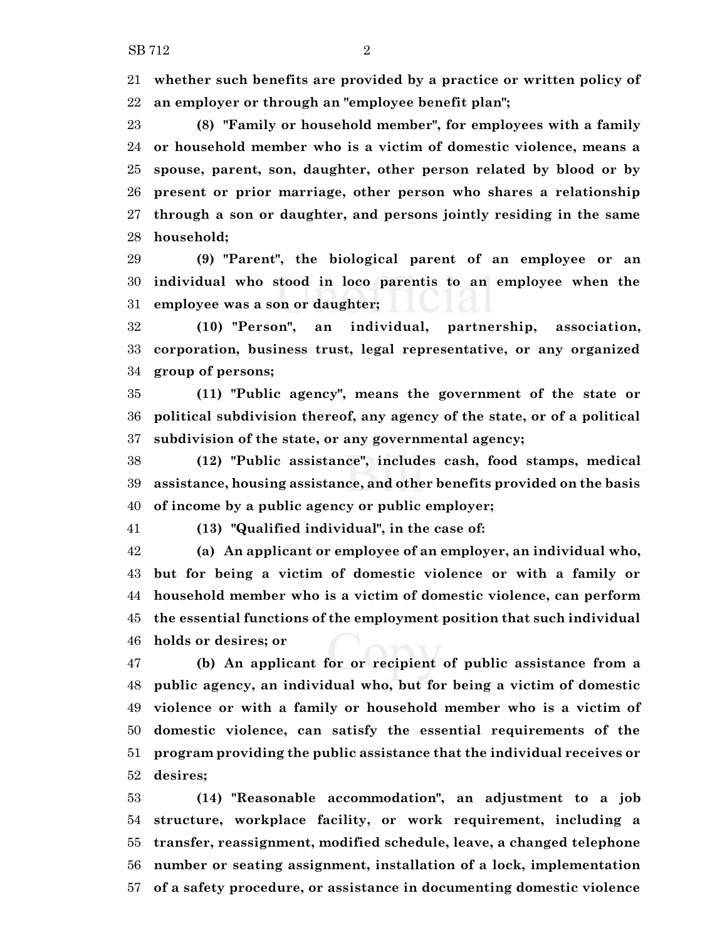**whether such benefits are provided by a practice or written policy of an employer or through an "employee benefit plan";**

 **(8) "Family or household member", for employees with a family or household member who is a victim of domestic violence, means a spouse, parent, son, daughter, other person related by blood or by present or prior marriage, other person who shares a relationship through a son or daughter, and persons jointly residing in the same household;**

 **(9) "Parent", the biological parent of an employee or an individual who stood in loco parentis to an employee when the employee was a son or daughter;**

 **(10) "Person", an individual, partnership, association, corporation, business trust, legal representative, or any organized group of persons;**

 **(11) "Public agency", means the government of the state or political subdivision thereof, any agency of the state, or of a political subdivision of the state, or any governmental agency;**

 **(12) "Public assistance", includes cash, food stamps, medical assistance, housing assistance, and other benefits provided on the basis of income by a public agency or public employer;**

**(13) "Qualified individual", in the case of:**

 **(a) An applicant or employee of an employer, an individual who, but for being a victim of domestic violence or with a family or household member who is a victim of domestic violence, can perform the essential functions of the employment position that such individual holds or desires; or**

 **(b) An applicant for or recipient of public assistance from a public agency, an individual who, but for being a victim of domestic violence or with a family or household member who is a victim of domestic violence, can satisfy the essential requirements of the program providing the public assistance that the individual receives or desires;**

 **(14) "Reasonable accommodation", an adjustment to a job structure, workplace facility, or work requirement, including a transfer, reassignment, modified schedule, leave, a changed telephone number or seating assignment, installation of a lock, implementation of a safety procedure, or assistance in documenting domestic violence**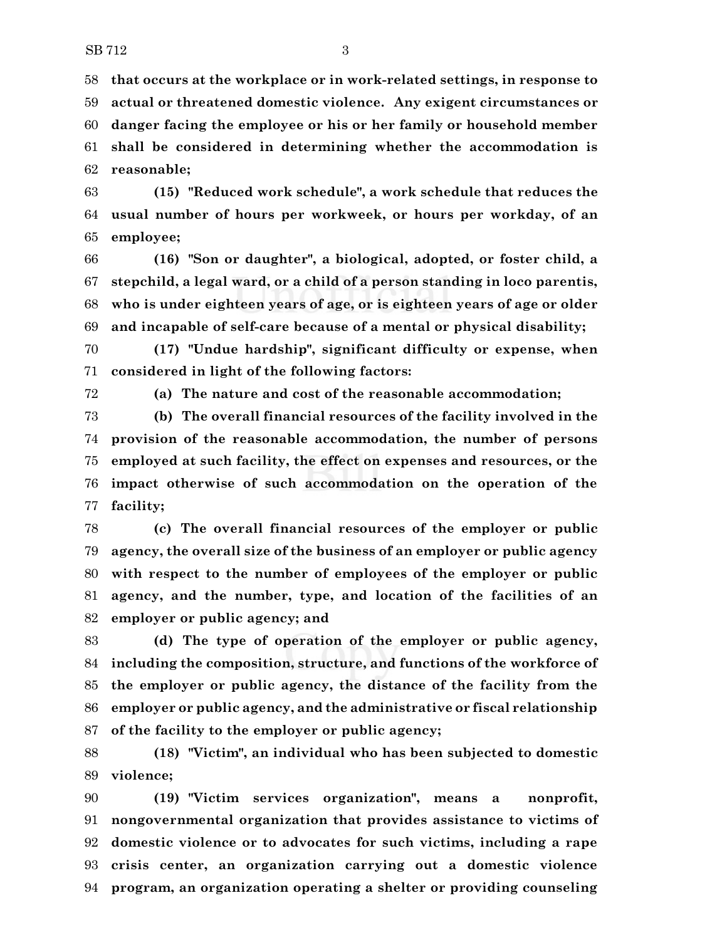**that occurs at the workplace or in work-related settings, in response to actual or threatened domestic violence. Any exigent circumstances or danger facing the employee or his or her family or household member shall be considered in determining whether the accommodation is reasonable;**

 **(15) "Reduced work schedule", a work schedule that reduces the usual number of hours per workweek, or hours per workday, of an employee;**

 **(16) "Son or daughter", a biological, adopted, or foster child, a stepchild, a legal ward, or a child of a person standing in loco parentis, who is under eighteen years of age, or is eighteen years of age or older and incapable of self-care because of a mental or physical disability;**

 **(17) "Undue hardship", significant difficulty or expense, when considered in light of the following factors:**

**(a) The nature and cost of the reasonable accommodation;**

 **(b) The overall financial resources of the facility involved in the provision of the reasonable accommodation, the number of persons employed at such facility, the effect on expenses and resources, or the impact otherwise of such accommodation on the operation of the facility;**

 **(c) The overall financial resources of the employer or public agency, the overall size of the business of an employer or public agency with respect to the number of employees of the employer or public agency, and the number, type, and location of the facilities of an employer or public agency; and**

 **(d) The type of operation of the employer or public agency, including the composition, structure, and functions of the workforce of the employer or public agency, the distance of the facility from the employer or public agency, and the administrative or fiscal relationship of the facility to the employer or public agency;**

 **(18) "Victim", an individual who has been subjected to domestic violence;**

 **(19) "Victim services organization", means a nonprofit, nongovernmental organization that provides assistance to victims of domestic violence or to advocates for such victims, including a rape crisis center, an organization carrying out a domestic violence program, an organization operating a shelter or providing counseling**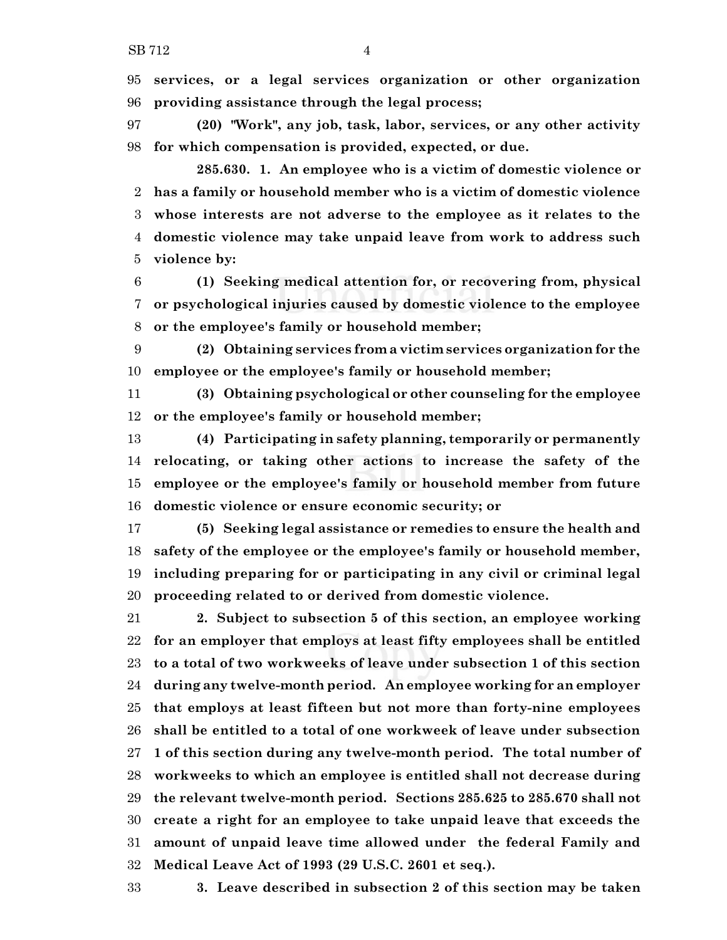**services, or a legal services organization or other organization providing assistance through the legal process;**

 **(20) "Work", any job, task, labor, services, or any other activity for which compensation is provided, expected, or due.**

**285.630. 1. An employee who is a victim of domestic violence or has a family or household member who is a victim of domestic violence whose interests are not adverse to the employee as it relates to the domestic violence may take unpaid leave from work to address such violence by:**

 **(1) Seeking medical attention for, or recovering from, physical or psychological injuries caused by domestic violence to the employee or the employee's family or household member;**

 **(2) Obtaining services from a victim services organization for the employee or the employee's family or household member;**

 **(3) Obtaining psychological or other counseling for the employee or the employee's family or household member;**

 **(4) Participating in safety planning, temporarily or permanently relocating, or taking other actions to increase the safety of the employee or the employee's family or household member from future domestic violence or ensure economic security; or**

 **(5) Seeking legal assistance or remedies to ensure the health and safety of the employee or the employee's family or household member, including preparing for or participating in any civil or criminal legal proceeding related to or derived from domestic violence.**

 **2. Subject to subsection 5 of this section, an employee working for an employer that employs at least fifty employees shall be entitled to a total of two workweeks of leave under subsection 1 of this section during any twelve-month period. An employee working for an employer that employs at least fifteen but not more than forty-nine employees shall be entitled to a total of one workweek of leave under subsection 1 of this section during any twelve-month period. The total number of workweeks to which an employee is entitled shall not decrease during the relevant twelve-month period. Sections 285.625 to 285.670 shall not create a right for an employee to take unpaid leave that exceeds the amount of unpaid leave time allowed under the federal Family and Medical Leave Act of 1993 (29 U.S.C. 2601 et seq.).**

**3. Leave described in subsection 2 of this section may be taken**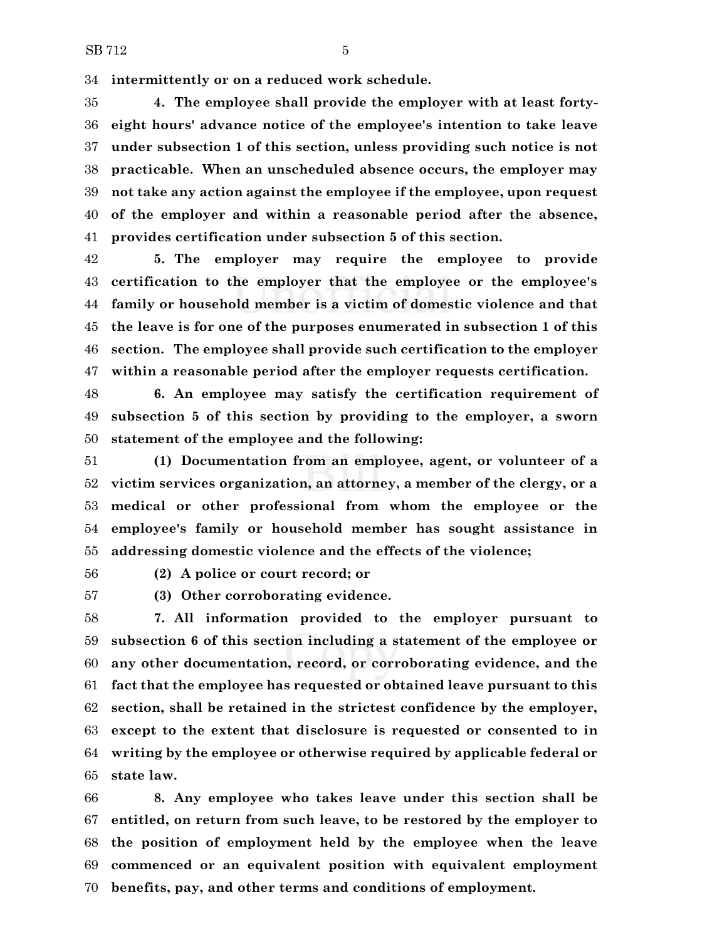**intermittently or on a reduced work schedule.**

 **4. The employee shall provide the employer with at least forty- eight hours' advance notice of the employee's intention to take leave under subsection 1 of this section, unless providing such notice is not practicable. When an unscheduled absence occurs, the employer may not take any action against the employee if the employee, upon request of the employer and within a reasonable period after the absence, provides certification under subsection 5 of this section.**

 **5. The employer may require the employee to provide certification to the employer that the employee or the employee's family or household member is a victim of domestic violence and that the leave is for one of the purposes enumerated in subsection 1 of this section. The employee shall provide such certification to the employer within a reasonable period after the employer requests certification.**

 **6. An employee may satisfy the certification requirement of subsection 5 of this section by providing to the employer, a sworn statement of the employee and the following:**

 **(1) Documentation from an employee, agent, or volunteer of a victim services organization, an attorney, a member of the clergy, or a medical or other professional from whom the employee or the employee's family or household member has sought assistance in addressing domestic violence and the effects of the violence;**

**(2) A police or court record; or**

**(3) Other corroborating evidence.**

 **7. All information provided to the employer pursuant to subsection 6 of this section including a statement of the employee or any other documentation, record, or corroborating evidence, and the fact that the employee has requested or obtained leave pursuant to this section, shall be retained in the strictest confidence by the employer, except to the extent that disclosure is requested or consented to in writing by the employee or otherwise required by applicable federal or state law.**

 **8. Any employee who takes leave under this section shall be entitled, on return from such leave, to be restored by the employer to the position of employment held by the employee when the leave commenced or an equivalent position with equivalent employment benefits, pay, and other terms and conditions of employment.**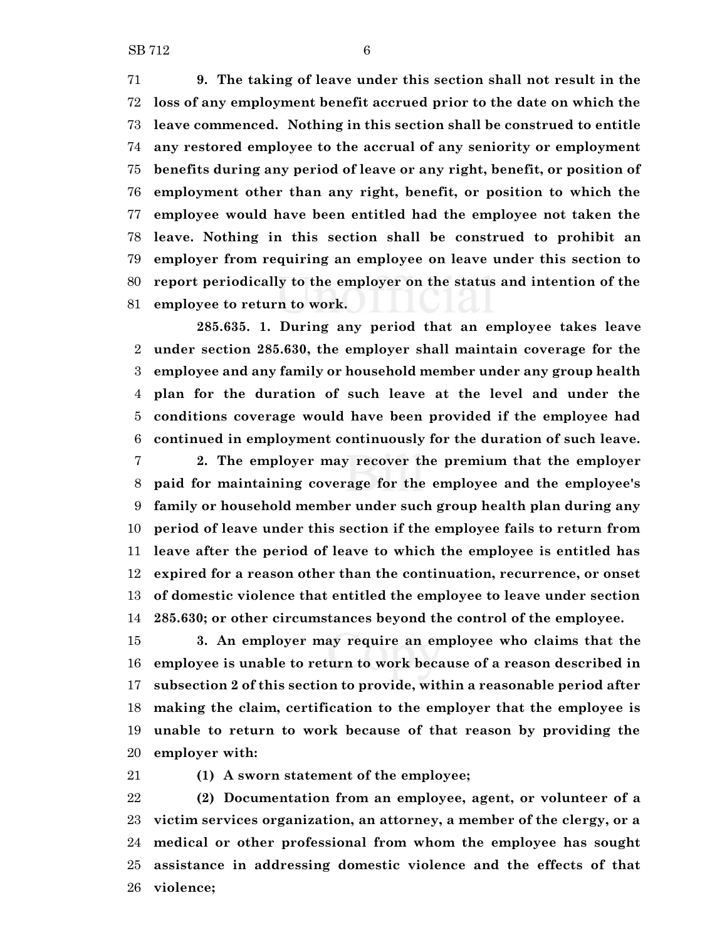**9. The taking of leave under this section shall not result in the loss of any employment benefit accrued prior to the date on which the leave commenced. Nothing in this section shall be construed to entitle any restored employee to the accrual of any seniority or employment benefits during any period of leave or any right, benefit, or position of employment other than any right, benefit, or position to which the employee would have been entitled had the employee not taken the leave. Nothing in this section shall be construed to prohibit an employer from requiring an employee on leave under this section to report periodically to the employer on the status and intention of the employee to return to work.**

**285.635. 1. During any period that an employee takes leave under section 285.630, the employer shall maintain coverage for the employee and any family or household member under any group health plan for the duration of such leave at the level and under the conditions coverage would have been provided if the employee had continued in employment continuously for the duration of such leave. 2. The employer may recover the premium that the employer**

 **paid for maintaining coverage for the employee and the employee's family or household member under such group health plan during any period of leave under this section if the employee fails to return from leave after the period of leave to which the employee is entitled has expired for a reason other than the continuation, recurrence, or onset of domestic violence that entitled the employee to leave under section 285.630; or other circumstances beyond the control of the employee.**

 **3. An employer may require an employee who claims that the employee is unable to return to work because of a reason described in subsection 2 of this section to provide, within a reasonable period after making the claim, certification to the employer that the employee is unable to return to work because of that reason by providing the employer with:**

**(1) A sworn statement of the employee;**

 **(2) Documentation from an employee, agent, or volunteer of a victim services organization, an attorney, a member of the clergy, or a medical or other professional from whom the employee has sought assistance in addressing domestic violence and the effects of that violence;**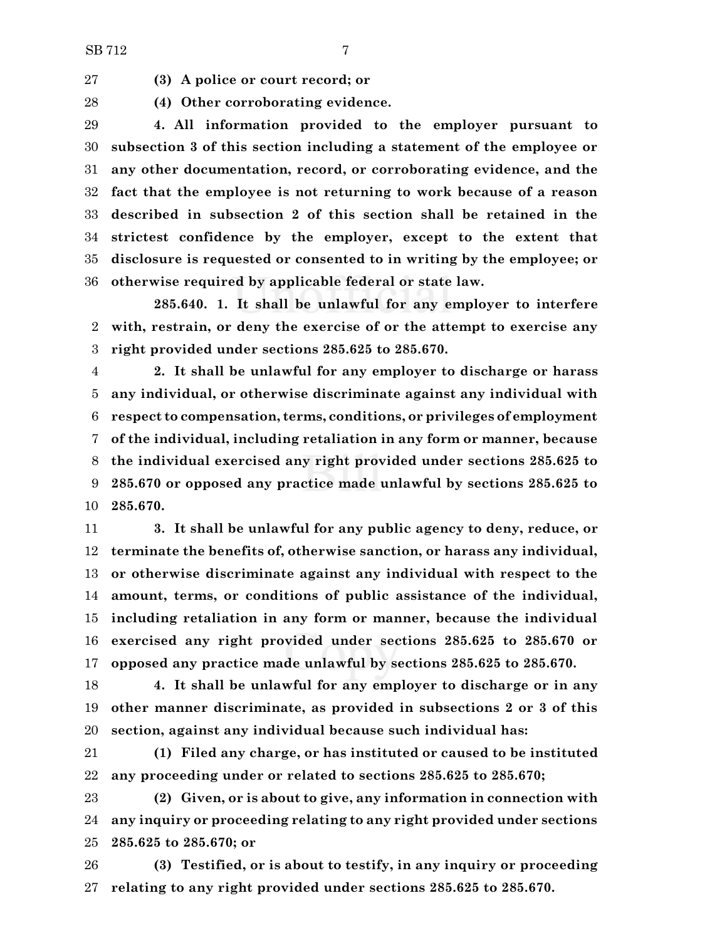**(3) A police or court record; or**

**(4) Other corroborating evidence.**

 **4. All information provided to the employer pursuant to subsection 3 of this section including a statement of the employee or any other documentation, record, or corroborating evidence, and the fact that the employee is not returning to work because of a reason described in subsection 2 of this section shall be retained in the strictest confidence by the employer, except to the extent that disclosure is requested or consented to in writing by the employee; or otherwise required by applicable federal or state law.**

**285.640. 1. It shall be unlawful for any employer to interfere with, restrain, or deny the exercise of or the attempt to exercise any right provided under sections 285.625 to 285.670.**

 **2. It shall be unlawful for any employer to discharge or harass any individual, or otherwise discriminate against any individual with respect to compensation, terms, conditions, or privileges of employment of the individual, including retaliation in any form or manner, because the individual exercised any right provided under sections 285.625 to 285.670 or opposed any practice made unlawful by sections 285.625 to 285.670.**

 **3. It shall be unlawful for any public agency to deny, reduce, or terminate the benefits of, otherwise sanction, or harass any individual, or otherwise discriminate against any individual with respect to the amount, terms, or conditions of public assistance of the individual, including retaliation in any form or manner, because the individual exercised any right provided under sections 285.625 to 285.670 or opposed any practice made unlawful by sections 285.625 to 285.670.**

 **4. It shall be unlawful for any employer to discharge or in any other manner discriminate, as provided in subsections 2 or 3 of this section, against any individual because such individual has:**

 **(1) Filed any charge, or has instituted or caused to be instituted any proceeding under or related to sections 285.625 to 285.670;**

 **(2) Given, or is about to give, any information in connection with any inquiry or proceeding relating to any right provided under sections 285.625 to 285.670; or**

 **(3) Testified, or is about to testify, in any inquiry or proceeding relating to any right provided under sections 285.625 to 285.670.**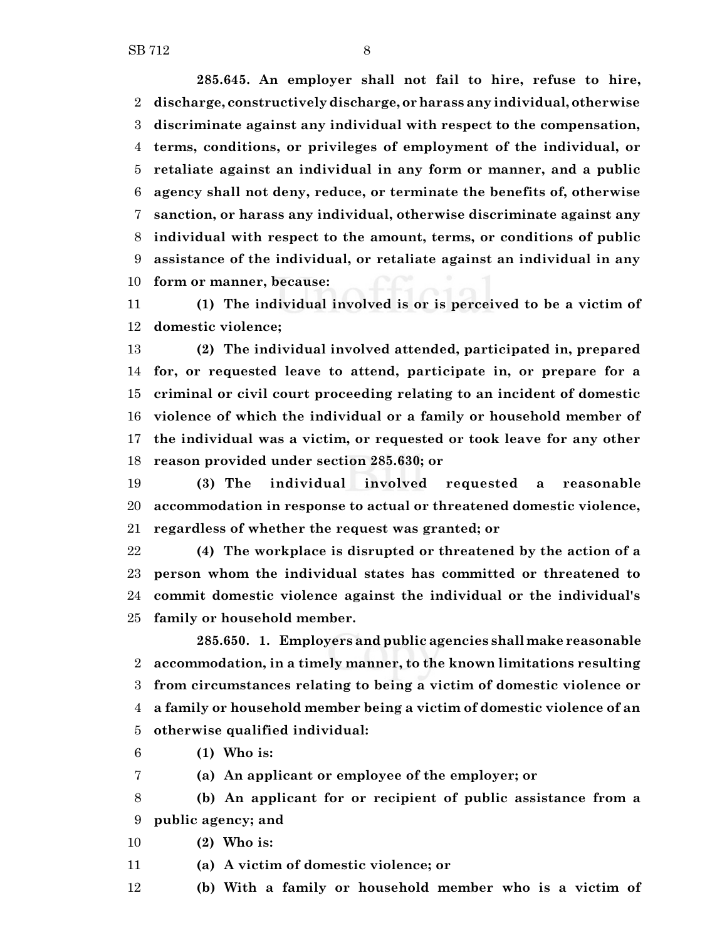**285.645. An employer shall not fail to hire, refuse to hire, discharge, constructively discharge, orharass any individual, otherwise discriminate against any individual with respect to the compensation, terms, conditions, or privileges of employment of the individual, or retaliate against an individual in any form or manner, and a public agency shall not deny, reduce, or terminate the benefits of, otherwise sanction, or harass any individual, otherwise discriminate against any individual with respect to the amount, terms, or conditions of public assistance of the individual, or retaliate against an individual in any form or manner, because:**

 **(1) The individual involved is or is perceived to be a victim of domestic violence;**

 **(2) The individual involved attended, participated in, prepared for, or requested leave to attend, participate in, or prepare for a criminal or civil court proceeding relating to an incident of domestic violence of which the individual or a family or household member of the individual was a victim, or requested or took leave for any other reason provided under section 285.630; or**

 **(3) The individual involved requested a reasonable accommodation in response to actual or threatened domestic violence, regardless of whether the request was granted; or**

 **(4) The workplace is disrupted or threatened by the action of a person whom the individual states has committed or threatened to commit domestic violence against the individual or the individual's family or household member.**

**285.650. 1. Employers and public agencies shall make reasonable accommodation, in a timely manner, to the known limitations resulting from circumstances relating to being a victim of domestic violence or a family or household member being a victim of domestic violence of an otherwise qualified individual:**

**(1) Who is:**

**(a) An applicant or employee of the employer; or**

 **(b) An applicant for or recipient of public assistance from a public agency; and**

- **(2) Who is:**
- **(a) A victim of domestic violence; or**
- **(b) With a family or household member who is a victim of**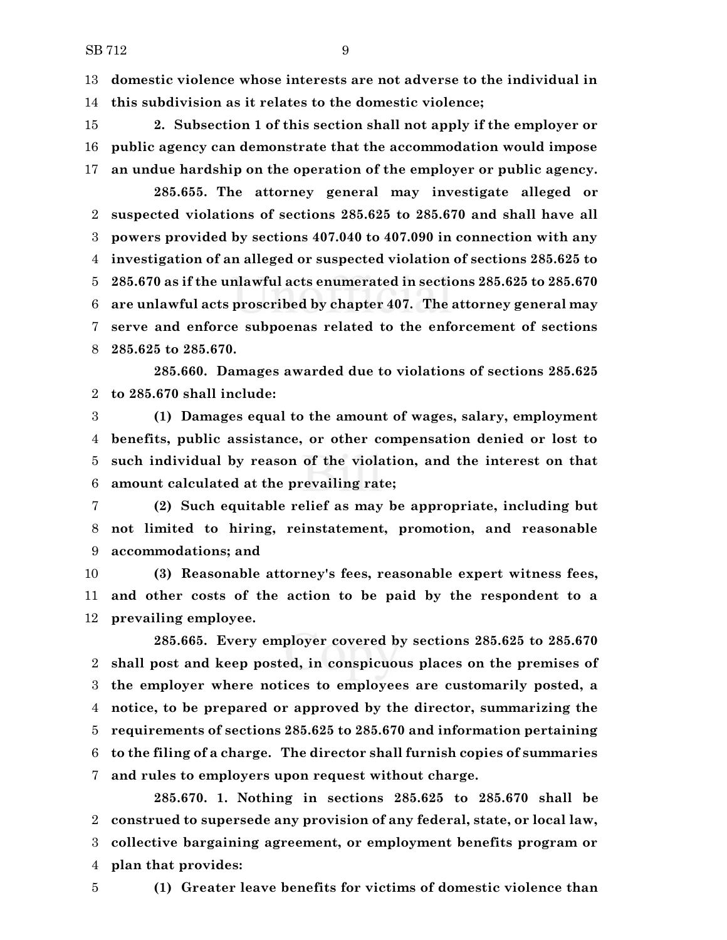**domestic violence whose interests are not adverse to the individual in this subdivision as it relates to the domestic violence;**

 **2. Subsection 1 of this section shall not apply if the employer or public agency can demonstrate that the accommodation would impose an undue hardship on the operation of the employer or public agency.**

**285.655. The attorney general may investigate alleged or suspected violations of sections 285.625 to 285.670 and shall have all powers provided by sections 407.040 to 407.090 in connection with any investigation of an alleged or suspected violation of sections 285.625 to 285.670 as if the unlawful acts enumerated in sections 285.625 to 285.670 are unlawful acts proscribed by chapter 407. The attorney general may serve and enforce subpoenas related to the enforcement of sections 285.625 to 285.670.**

**285.660. Damages awarded due to violations of sections 285.625 to 285.670 shall include:**

 **(1) Damages equal to the amount of wages, salary, employment benefits, public assistance, or other compensation denied or lost to such individual by reason of the violation, and the interest on that amount calculated at the prevailing rate;**

 **(2) Such equitable relief as may be appropriate, including but not limited to hiring, reinstatement, promotion, and reasonable accommodations; and**

 **(3) Reasonable attorney's fees, reasonable expert witness fees, and other costs of the action to be paid by the respondent to a prevailing employee.**

**285.665. Every employer covered by sections 285.625 to 285.670 shall post and keep posted, in conspicuous places on the premises of the employer where notices to employees are customarily posted, a notice, to be prepared or approved by the director, summarizing the requirements of sections 285.625 to 285.670 and information pertaining to the filing of a charge. The director shall furnish copies of summaries and rules to employers upon request without charge.**

**285.670. 1. Nothing in sections 285.625 to 285.670 shall be construed to supersede any provision of any federal, state, or local law, collective bargaining agreement, or employment benefits program or plan that provides:**

**(1) Greater leave benefits for victims of domestic violence than**